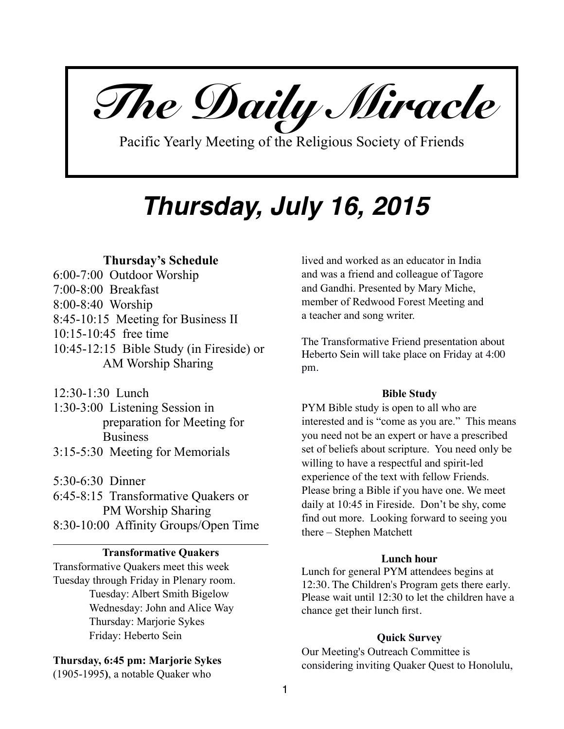*The Daily Miracle* 

Pacific Yearly Meeting of the Religious Society of Friends

# *Thursday, July 16, 2015*

# **Thursday's Schedule**

6:00-7:00 Outdoor Worship 7:00-8:00 Breakfast 8:00-8:40 Worship 8:45-10:15 Meeting for Business II 10:15-10:45 free time 10:45-12:15 Bible Study (in Fireside) or AM Worship Sharing

12:30-1:30 Lunch

1:30-3:00 Listening Session in preparation for Meeting for **Business** 

3:15-5:30 Meeting for Memorials

5:30-6:30 Dinner 6:45-8:15 Transformative Quakers or PM Worship Sharing 8:30-10:00 Affinity Groups/Open Time

## **Transformative Quakers**

Transformative Quakers meet this week Tuesday through Friday in Plenary room. Tuesday: Albert Smith Bigelow Wednesday: John and Alice Way Thursday: Marjorie Sykes Friday: Heberto Sein

## **Thursday, 6:45 pm: Marjorie Sykes**

(1905-1995**)**, a notable Quaker who

lived and worked as an educator in India and was a friend and colleague of Tagore and Gandhi. Presented by Mary Miche, member of Redwood Forest Meeting and a teacher and song writer.

The Transformative Friend presentation about Heberto Sein will take place on Friday at 4:00 pm.

#### **Bible Study**

PYM Bible study is open to all who are interested and is "come as you are." This means you need not be an expert or have a prescribed set of beliefs about scripture. You need only be willing to have a respectful and spirit-led experience of the text with fellow Friends. Please bring a Bible if you have one. We meet daily at 10:45 in Fireside. Don't be shy, come find out more. Looking forward to seeing you there – Stephen Matchett

## **Lunch hour**

Lunch for general PYM attendees begins at 12:30. The Children's Program gets there early. Please wait until 12:30 to let the children have a chance get their lunch first.

#### **Quick Survey**

Our Meeting's Outreach Committee is considering inviting Quaker Quest to Honolulu,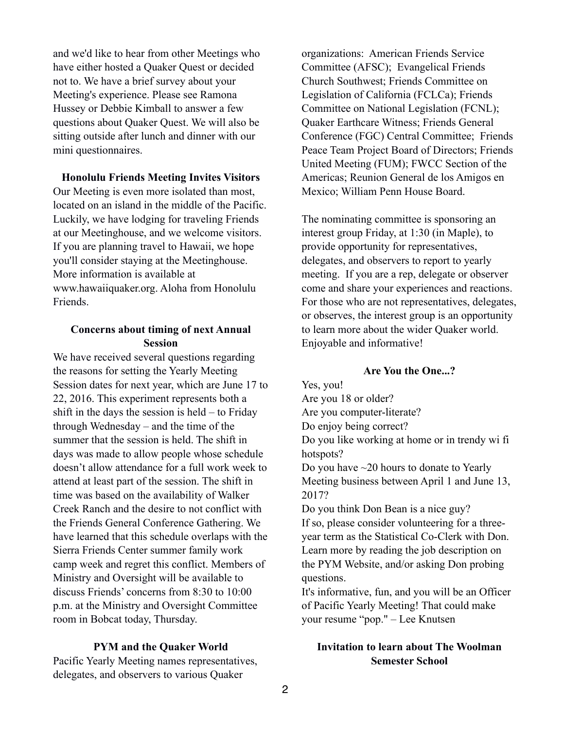and we'd like to hear from other Meetings who have either hosted a Quaker Quest or decided not to. We have a brief survey about your Meeting's experience. Please see Ramona Hussey or Debbie Kimball to answer a few questions about Quaker Quest. We will also be sitting outside after lunch and dinner with our mini questionnaires.

**Honolulu Friends Meeting Invites Visitors** 

Our Meeting is even more isolated than most, located on an island in the middle of the Pacific. Luckily, we have lodging for traveling Friends at our Meetinghouse, and we welcome visitors. If you are planning travel to Hawaii, we hope you'll consider staying at the Meetinghouse. More information is available at [www.hawaiiquaker.org.](http://www.hawaiiquaker.org/) Aloha from Honolulu Friends.

## **Concerns about timing of next Annual Session**

We have received several questions regarding the reasons for setting the Yearly Meeting Session dates for next year, which are June 17 to 22, 2016. This experiment represents both a shift in the days the session is held – to Friday through Wednesday – and the time of the summer that the session is held. The shift in days was made to allow people whose schedule doesn't allow attendance for a full work week to attend at least part of the session. The shift in time was based on the availability of Walker Creek Ranch and the desire to not conflict with the Friends General Conference Gathering. We have learned that this schedule overlaps with the Sierra Friends Center summer family work camp week and regret this conflict. Members of Ministry and Oversight will be available to discuss Friends' concerns from 8:30 to 10:00 p.m. at the Ministry and Oversight Committee room in Bobcat today, Thursday.

#### **PYM and the Quaker World**

Pacific Yearly Meeting names representatives, delegates, and observers to various Quaker

organizations: American Friends Service Committee (AFSC); Evangelical Friends Church Southwest; Friends Committee on Legislation of California (FCLCa); Friends Committee on National Legislation (FCNL); Quaker Earthcare Witness; Friends General Conference (FGC) Central Committee; Friends Peace Team Project Board of Directors; Friends United Meeting (FUM); FWCC Section of the Americas; Reunion General de los Amigos en Mexico; William Penn House Board.

The nominating committee is sponsoring an interest group Friday, at 1:30 (in Maple), to provide opportunity for representatives, delegates, and observers to report to yearly meeting. If you are a rep, delegate or observer come and share your experiences and reactions. For those who are not representatives, delegates, or observes, the interest group is an opportunity to learn more about the wider Quaker world. Enjoyable and informative!

## **Are You the One...?**

Yes, you! Are you 18 or older? Are you computer-literate? Do enjoy being correct? Do you like working at home or in trendy wi fi hotspots? Do you have ~20 hours to donate to Yearly Meeting business between April 1 and June 13, 2017? Do you think Don Bean is a nice guy? If so, please consider volunteering for a threeyear term as the Statistical Co-Clerk with Don. Learn more by reading the job description on the PYM Website, and/or asking Don probing questions. It's informative, fun, and you will be an Officer

of Pacific Yearly Meeting! That could make your resume "pop." – Lee Knutsen

# **Invitation to learn about The Woolman Semester School**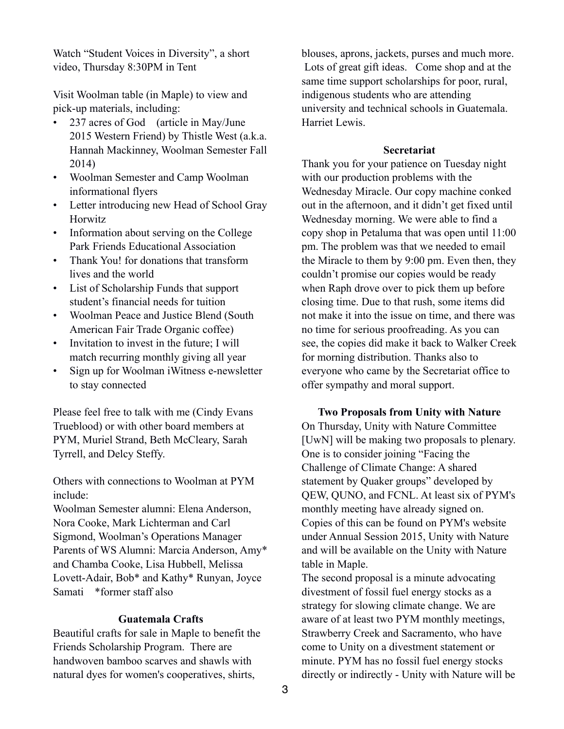Watch "Student Voices in Diversity", a short video, Thursday 8:30PM in Tent

Visit Woolman table (in Maple) to view and pick-up materials, including:

- 237 acres of God (article in May/June 2015 Western Friend) by Thistle West (a.k.a. Hannah Mackinney, Woolman Semester Fall 2014)
- Woolman Semester and Camp Woolman informational flyers
- Letter introducing new Head of School Gray **Horwitz**
- Information about serving on the College Park Friends Educational Association
- Thank You! for donations that transform lives and the world
- List of Scholarship Funds that support student's financial needs for tuition
- Woolman Peace and Justice Blend (South American Fair Trade Organic coffee)
- Invitation to invest in the future; I will match recurring monthly giving all year
- Sign up for Woolman iWitness e-newsletter to stay connected

Please feel free to talk with me (Cindy Evans Trueblood) or with other board members at PYM, Muriel Strand, Beth McCleary, Sarah Tyrrell, and Delcy Steffy.

Others with connections to Woolman at PYM include:

Woolman Semester alumni: Elena Anderson, Nora Cooke, Mark Lichterman and Carl Sigmond, Woolman's Operations Manager Parents of WS Alumni: Marcia Anderson, Amy\* and Chamba Cooke, Lisa Hubbell, Melissa Lovett-Adair, Bob\* and Kathy\* Runyan, Joyce Samati \*former staff also

# **Guatemala Crafts**

Beautiful crafts for sale in Maple to benefit the Friends Scholarship Program. There are handwoven bamboo scarves and shawls with natural dyes for women's cooperatives, shirts,

blouses, aprons, jackets, purses and much more. Lots of great gift ideas. Come shop and at the same time support scholarships for poor, rural, indigenous students who are attending university and technical schools in Guatemala. Harriet Lewis.

### **Secretariat**

Thank you for your patience on Tuesday night with our production problems with the Wednesday Miracle. Our copy machine conked out in the afternoon, and it didn't get fixed until Wednesday morning. We were able to find a copy shop in Petaluma that was open until 11:00 pm. The problem was that we needed to email the Miracle to them by 9:00 pm. Even then, they couldn't promise our copies would be ready when Raph drove over to pick them up before closing time. Due to that rush, some items did not make it into the issue on time, and there was no time for serious proofreading. As you can see, the copies did make it back to Walker Creek for morning distribution. Thanks also to everyone who came by the Secretariat office to offer sympathy and moral support.

**Two Proposals from Unity with Nature**  On Thursday, Unity with Nature Committee [UwN] will be making two proposals to plenary. One is to consider joining "Facing the Challenge of Climate Change: A shared statement by Quaker groups" developed by QEW, QUNO, and FCNL. At least six of PYM's monthly meeting have already signed on. Copies of this can be found on PYM's website under Annual Session 2015, Unity with Nature and will be available on the Unity with Nature table in Maple.

The second proposal is a minute advocating divestment of fossil fuel energy stocks as a strategy for slowing climate change. We are aware of at least two PYM monthly meetings, Strawberry Creek and Sacramento, who have come to Unity on a divestment statement or minute. PYM has no fossil fuel energy stocks directly or indirectly - Unity with Nature will be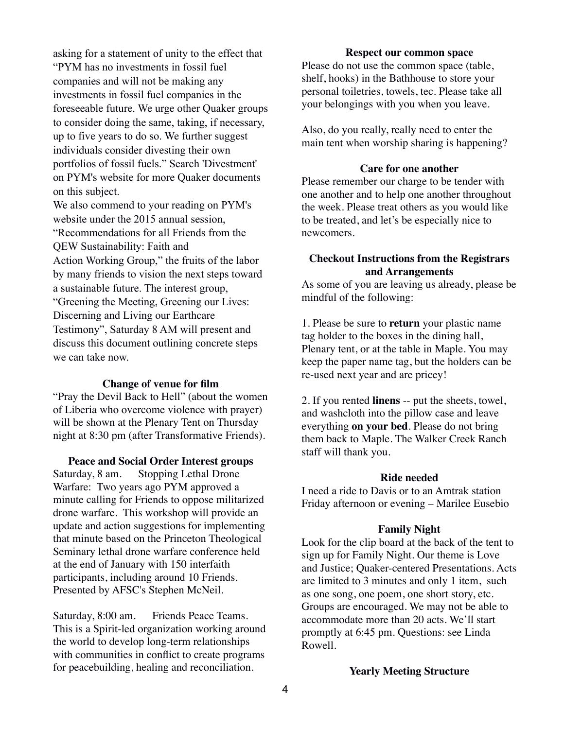asking for a statement of unity to the effect that "PYM has no investments in fossil fuel companies and will not be making any investments in fossil fuel companies in the foreseeable future. We urge other Quaker groups to consider doing the same, taking, if necessary, up to five years to do so. We further suggest individuals consider divesting their own portfolios of fossil fuels." Search 'Divestment' on PYM's website for more Quaker documents on this subject.

We also commend to your reading on PYM's website under the 2015 annual session, "Recommendations for all Friends from the QEW Sustainability: Faith and Action Working Group," the fruits of the labor by many friends to vision the next steps toward

a sustainable future. The interest group, "Greening the Meeting, Greening our Lives: Discerning and Living our Earthcare Testimony", Saturday 8 AM will present and discuss this document outlining concrete steps we can take now.

#### **Change of venue for film**

"Pray the Devil Back to Hell" (about the women of Liberia who overcome violence with prayer) will be shown at the Plenary Tent on Thursday night at 8:30 pm (after Transformative Friends).

#### **Peace and Social Order Interest groups**

Saturday, 8 am. Stopping Lethal Drone Warfare: Two years ago PYM approved a minute calling for Friends to oppose militarized drone warfare. This workshop will provide an update and action suggestions for implementing that minute based on the Princeton Theological Seminary lethal drone warfare conference held at the end of January with 150 interfaith participants, including around 10 Friends. Presented by AFSC's Stephen McNeil.

Saturday, 8:00 am. Friends Peace Teams. This is a Spirit-led organization working around the world to develop long-term relationships with communities in conflict to create programs for peacebuilding, healing and reconciliation.

## **Respect our common space**

Please do not use the common space (table, shelf, hooks) in the Bathhouse to store your personal toiletries, towels, tec. Please take all your belongings with you when you leave.

Also, do you really, really need to enter the main tent when worship sharing is happening?

#### **Care for one another**

Please remember our charge to be tender with one another and to help one another throughout the week. Please treat others as you would like to be treated, and let's be especially nice to newcomers.

## **Checkout Instructions from the Registrars and Arrangements**

As some of you are leaving us already, please be mindful of the following:

1. Please be sure to **return** your plastic name tag holder to the boxes in the dining hall, Plenary tent, or at the table in Maple. You may keep the paper name tag, but the holders can be re-used next year and are pricey!

2. If you rented **linens** -- put the sheets, towel, and washcloth into the pillow case and leave everything **on your bed**. Please do not bring them back to Maple. The Walker Creek Ranch staff will thank you.

## **Ride needed**

I need a ride to Davis or to an Amtrak station Friday afternoon or evening – Marilee Eusebio

#### **Family Night**

Look for the clip board at the back of the tent to sign up for Family Night. Our theme is Love and Justice; Quaker-centered Presentations. Acts are limited to 3 minutes and only 1 item, such as one song, one poem, one short story, etc. Groups are encouraged. We may not be able to accommodate more than 20 acts. We'll start promptly at 6:45 pm. Questions: see Linda Rowell.

#### **Yearly Meeting Structure**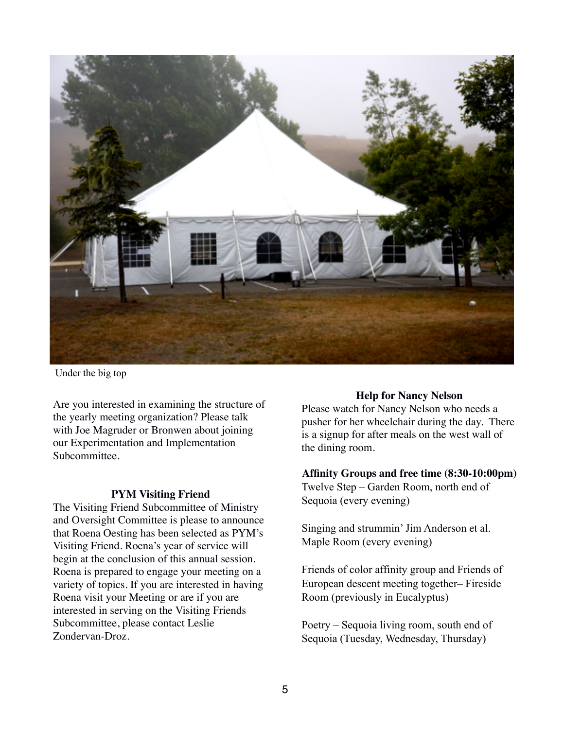

Under the big top

Are you interested in examining the structure of the yearly meeting organization? Please talk with Joe Magruder or Bronwen about joining our Experimentation and Implementation Subcommittee.

#### **PYM Visiting Friend**

The Visiting Friend Subcommittee of Ministry and Oversight Committee is please to announce that Roena Oesting has been selected as PYM's Visiting Friend. Roena's year of service will begin at the conclusion of this annual session. Roena is prepared to engage your meeting on a variety of topics. If you are interested in having Roena visit your Meeting or are if you are interested in serving on the Visiting Friends Subcommittee, please contact Leslie Zondervan-Droz.

#### **Help for Nancy Nelson**

Please watch for Nancy Nelson who needs a pusher for her wheelchair during the day. There is a signup for after meals on the west wall of the dining room.

#### **Affinity Groups and free time (8:30-10:00pm)**

Twelve Step – Garden Room, north end of Sequoia (every evening)

Singing and strummin' Jim Anderson et al. – Maple Room (every evening)

Friends of color affinity group and Friends of European descent meeting together– Fireside Room (previously in Eucalyptus)

Poetry – Sequoia living room, south end of Sequoia (Tuesday, Wednesday, Thursday)